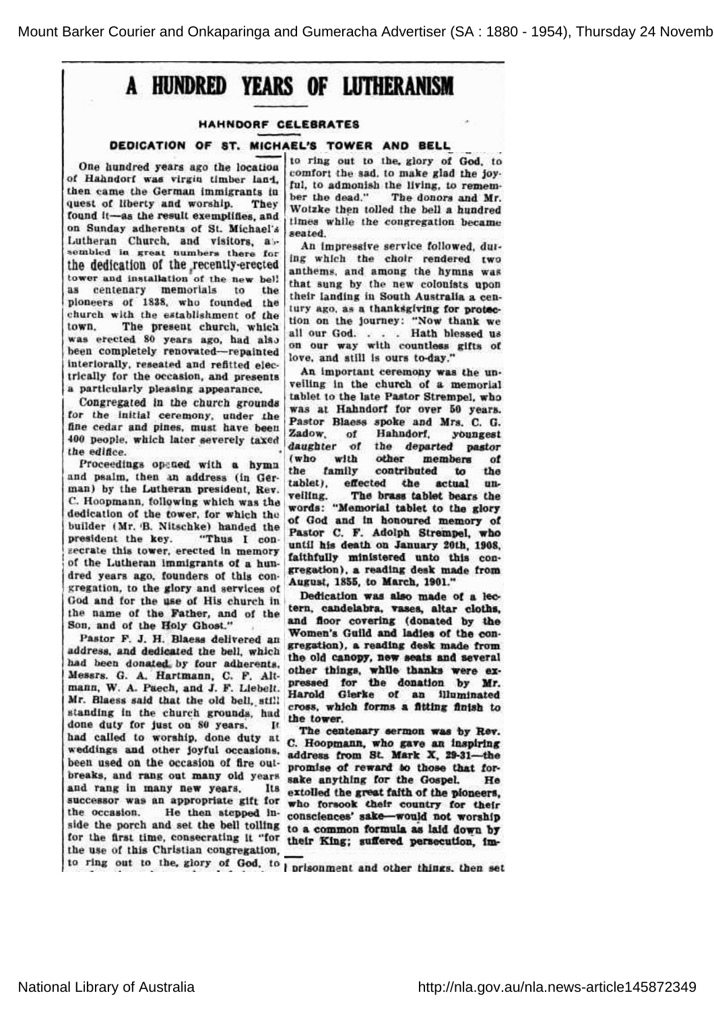# A HUNDRED YEARS OF LUTHERANISM

## HAHNDORF CELEBRATES

#### DEDICATION OF ST. MICHAEL'S TOWER AND BELL

One hundred years ago the location of Hahndorf was virgin timber land, then came the German immigrants in quest of liberty and worship. They found it-as the result exemplifies, and on Sunday adherents of St. Michael's Lutheran Church, and visitors, a<br>sembled in great numbers there fo the dedication of the recently-erecte tower and installation of the new bell as centenary memorials to the pioneers of 1838, who founded the church with the establishment of the town. The present church, which was erected 80 years ago, had also been completely renovated—repainted interiorally, reseated and refitted electrically for the occasion, and present a particularly pleasing appearance.

Congregated in the church grounds for the initial ceremony, under the fine cedar and pines, must have been 400 people, which later severely taxed the edifice.

Proceedings opened with a hymn and psalm, then an ade<br>man) by the Lutheran p and psalm, then an address (in German) by the Lutheran president, R<br>C. Hoopmann, following which was dedication of the tower, for which the builder (Mr. B. Nitschke) handed the president the key. ent the key. "Thus I con<br>e this tower, erected in memory "Thus I conof the Lutheran immigrants of a hu<br>dred years ago, founders of this co of a years ago, founders congregation, ago, founders of this c<br>to the glory and services God and for the use of His church in the name of the Father, and of the Son, and of the Holy Ghost."

Pastor F. J. H. Blaess delivered an address, and dedicated the bell, which had been donated by four adherents, Mosers. O. A. Hartmann, O. D. Alt 's. G. A. Hartmann, C. F. Alt<br>, W. A. Paech, and J. F. Liebelt Mr. Blaess said that the old bell, sti standing in the church grounds, had done duty for just on 80 years. It had called to worship, done duty at weddings and other joyful occasions, been used on the occasion of fire ou ed on the occasion of fire out<br>and rang out many old years and rang in many new years. Its successor was an appropriate gift for the occasion. He then stepped in<br>side the porch and set the bell tolling the occasion. for the first time, consecrating it "for their King; suffered persecution the use of this Christian congregation,

to ring out to the, glory of God, to comfort the sad, to make glad the joyber the dead." admonish the living, to remem<br>e dead." The donors and Mr to admonish the living, to rem<br>the dead." The donors and Wotzke then tolled the bell a hundred times while the congregation became seated.

An impressive service followed, during which the choir rendered two anthems,and among the hymns was that sung by the new colonists upo their landing in South Australia a ce ng in South Australia a ce<br>s a thanksgiving for prote tury ago, as a thanksgiving for pro<br>tion on the journey: "Now thank all our God. . . . Hath blessed us on our way with countless gifts of love, and still is ours to-day.

mportant ceremony was the un An important ceremony was the univelling in the church of a memorial tablet to the late Pastor Strempel, who was at Hahndorf for over 50 years. Pastor Blaess spoke and Mrs. C. G. Zadow, of Hahndorf, youngest<br>daughter of the departed pastor the departed pastor (who with other members Ωf the family contributed to the tablet), effected the actual u<br>veiling. The brass tablet bears th words: "Memorial tablet to the glory of God and in honoured memory of Pastor C. F. Adolph Strempel, who until his death on January 20th, 1908, faithfully ministered unto this congression) a reading deek meda from gregation), a reading desk made from August, 1855, to March, 1901."

Dedication was also made of a lar wasalsomadeof a candelabra, vases, altar cloths, and floor covering (donated by the Women's Guild and ladies of the cor<br>gregation), a reading desk made from Women's Guild and ladies of the conthe old canopy, new seats and several other things, while thanks were ex pressed for the donation by Mr. Harold Glerke of an illuminated cross, which forms a fitting finish to the tower.

The centenary sermon was by Rev. C. Hoopmann, who gave an inspiring address from St. Mark X, 29-31-the promise of reward to those that fo<br>sake anything for the Gospel. H ise of reward so those that<br>anything for the Gospel. extolled the great faith of the pioneers, who forsook their country for their consciences' sake—would not worship to a common formula as laid down by

to ring out to the, glory of God, to prisonment and other things, then set